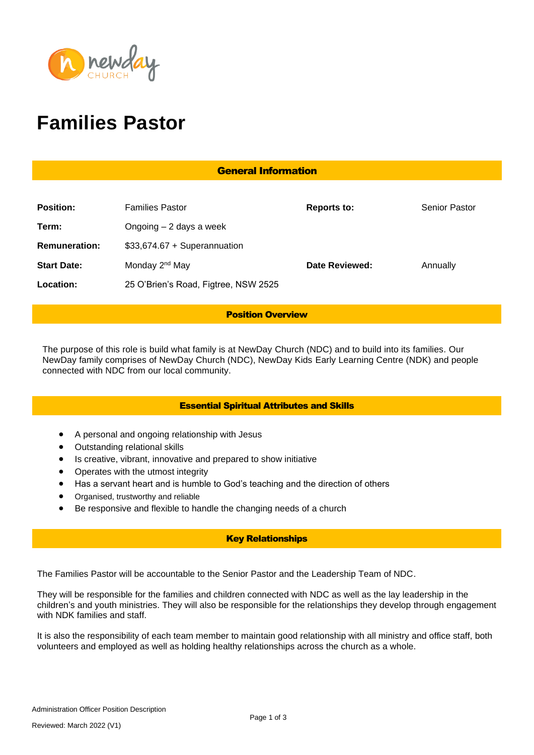

# **Families Pastor**

| <b>General Information</b> |                                      |                    |                      |
|----------------------------|--------------------------------------|--------------------|----------------------|
|                            |                                      |                    |                      |
| <b>Position:</b>           | <b>Families Pastor</b>               | <b>Reports to:</b> | <b>Senior Pastor</b> |
| Term:                      | Ongoing $-2$ days a week             |                    |                      |
| <b>Remuneration:</b>       | $$33,674.67 + Superannuation$        |                    |                      |
| <b>Start Date:</b>         | Monday 2 <sup>nd</sup> May           | Date Reviewed:     | Annually             |
| Location:                  | 25 O'Brien's Road, Figtree, NSW 2525 |                    |                      |

## Position Overview

The purpose of this role is build what family is at NewDay Church (NDC) and to build into its families. Our NewDay family comprises of NewDay Church (NDC), NewDay Kids Early Learning Centre (NDK) and people connected with NDC from our local community.

# Essential Spiritual Attributes and Skills

- A personal and ongoing relationship with Jesus
- Outstanding relational skills
- Is creative, vibrant, innovative and prepared to show initiative
- Operates with the utmost integrity
- Has a servant heart and is humble to God's teaching and the direction of others
- Organised, trustworthy and reliable
- Be responsive and flexible to handle the changing needs of a church

# Key Relationships

The Families Pastor will be accountable to the Senior Pastor and the Leadership Team of NDC.

They will be responsible for the families and children connected with NDC as well as the lay leadership in the children's and youth ministries. They will also be responsible for the relationships they develop through engagement with NDK families and staff.

It is also the responsibility of each team member to maintain good relationship with all ministry and office staff, both volunteers and employed as well as holding healthy relationships across the church as a whole.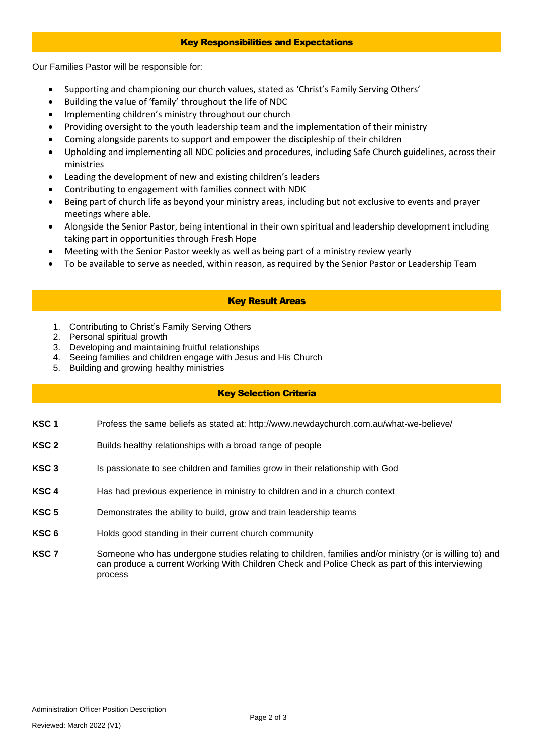#### Key Responsibilities and Expectations

Our Families Pastor will be responsible for:

- Supporting and championing our church values, stated as 'Christ's Family Serving Others'
- Building the value of 'family' throughout the life of NDC
- Implementing children's ministry throughout our church
- Providing oversight to the youth leadership team and the implementation of their ministry
- Coming alongside parents to support and empower the discipleship of their children
- Upholding and implementing all NDC policies and procedures, including Safe Church guidelines, across their ministries
- Leading the development of new and existing children's leaders
- Contributing to engagement with families connect with NDK
- Being part of church life as beyond your ministry areas, including but not exclusive to events and prayer meetings where able.
- Alongside the Senior Pastor, being intentional in their own spiritual and leadership development including taking part in opportunities through Fresh Hope
- Meeting with the Senior Pastor weekly as well as being part of a ministry review yearly
- To be available to serve as needed, within reason, as required by the Senior Pastor or Leadership Team

## Key Result Areas

- 1. Contributing to Christ's Family Serving Others
- 2. Personal spiritual growth
- 3. Developing and maintaining fruitful relationships
- 4. Seeing families and children engage with Jesus and His Church
- 5. Building and growing healthy ministries

# Key Selection Criteria

- **KSC 1** Profess the same beliefs as stated at: http://www.newdaychurch.com.au/what-we-believe/
- **KSC 2** Builds healthy relationships with a broad range of people
- **KSC 3** Is passionate to see children and families grow in their relationship with God
- **KSC 4** Has had previous experience in ministry to children and in a church context
- **KSC 5** Demonstrates the ability to build, grow and train leadership teams
- **KSC 6** Holds good standing in their current church community
- **KSC 7** Someone who has undergone studies relating to children, families and/or ministry (or is willing to) and can produce a current Working With Children Check and Police Check as part of this interviewing process